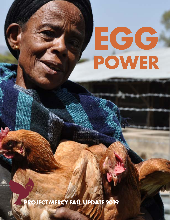# **EGG POWER**

**PROJECT MERCY FALL UPDATE 2019**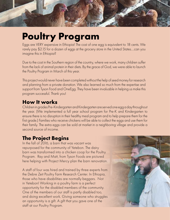

### **Poultry Program**

Eggs are VERY expensive in Ethiopia! The cost of one egg is equivalent to 18 cents. We rarely pay \$2.15 for a dozen of eggs at the grocery store in the United States….can you imagine this in Ethiopia?

Due to the cost in the Southern region of the country, where we work, many children suffer from the lack of animal protein in their diets. By the grace of God, we were able to launch the Poultry Program in March of this year.

This project would never have been completed without the help of seed money for research and planning from a private donation. We also learned so much from the expertise and support from Tyson Food and OneEgg. They have been invaluable in helping us make this program successful. Thank you!

#### **How It works**

Children in grades Pre-Kindergarten and Kindergarten are served one egg a day throughout the year. (We implemented a full year school program for Pre-K and Kindergarten to ensure there is no disruption in their healthy meal program and to help prepare them for the first grade.) Families who receive chickens will be able to collect the eggs and use them for their family. The extra eggs can be sold at market in a neighboring village and provide a second source of income.

#### **The Project Begins**

In the fall of 2016, a barn that was vacant was repurposed for the community of Yetebon. The dairy barn was transformed into a chicken coop for the Poultry Program. Ray and Matt, from Tyson Foods are pictured here helping with Project Mercy plan the barn renovation.

A staff of four was hired and trained by three experts from the Debre Zeit Poultry Farm Research Center. In Ethiopia, those who have disabilities are normally beggars. Not in Yetebon! Working in a poultry farm is a perfect opportunity for the disabled members of the community. One of the members of our staff is partly disabled too, and doing excellent work. Giving someone who struggles an opportunity is a gift. A gift that you gave one of the staff at our Poultry Program.

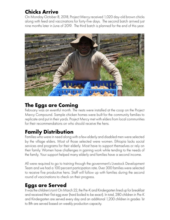#### **Chicks Arrive**

On Monday October 8, 2018, Project Mercy received 1,020 day-old brown chicks along with feed and vaccinations for forty-five days. The second batch arrived just nine months later in June of 2019. The third batch is planned for the end of this year.



#### **The Eggs are Coming**

February was an eventful month. The nests were installed at the coop on the Project Mercy Compound. Sample chicken homes were built for the community families to replicate and put in their yards. Project Mercy met with elders from local communities for their recommendations on who should receive the hens.

#### **Family Distribution**

Families who were in need along with a few elderly and disabled men were selected by the village elders. Most of those selected were women. Ethiopia lacks social services and programs for their elderly. Most have to support themselves or rely on their family. Women have challenges in gaining work while tending to the needs of the family. Your support helped many elderly and families have a second income.

All were required to go to training through the government's Livestock Development Team and we had a 100 percent participation rate. 0ver 300 families were selected to receive five productive hens. Staff will follow up with families during the second round of vaccinations to check on their progress.

#### **Eggs are Served**

It was the children's turn! On March 22, the Pre-K and Kindergarten lined up for breakfast and received their first egg ever (hard boiled to be exact). In total, 280 children in Pre-K and Kindergarten are served every day and an additional 1,200 children in grades 1st to 8th are served based on weekly production capacity.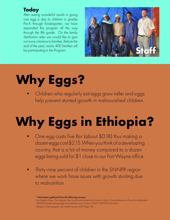#### **Today**

After seeing wonderful results in giving one egg a day to children in grades Pre-K through Kindergarten, we have expanded this program all the way through the 8th grade. On the family distribution side, we would like to give out more chickens to families. Before the end of the year, nearly 400 families will be participating in the Program.



## **Why Eggs?**

• Children who regularly eat eggs grow taller and eggs help prevent stunted growth in malnourished children.

### **Why Eggs in Ethiopia?**

- One egg costs five Birr (about \$0.18) thus making a dozen eggs cost \$2.15. When you think of a developing country, that is a lot of money compared to a dozen eggs being sold for \$1 close to our Fort Wayne office.
- Thirty-nine percent of children in the SNNPR region where we work have issues with growth stunting due to malnutrition.

*\*Information gathered from the following sources:*  Los Angeles Times, One egg per day could boost babies brain function, https://www.latimes.com/food/sns-dailymeal-1864165-healthy-eating-eggs-boost-babies-brain-function-122217-20171222-story.html Ethiopia, a Demographic and Health Survey, 2019. Page 190.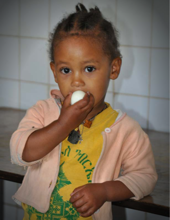